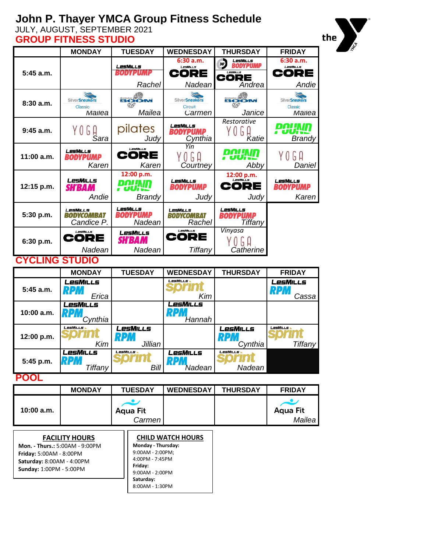## **John P. Thayer YMCA Group Fitness Schedule**

JULY, AUGUST, SEPTEMBER 2021

| <b>GROUP FITNESS STUDIO</b>                        |                           |                      |                                    |                                                       |                                    |  |
|----------------------------------------------------|---------------------------|----------------------|------------------------------------|-------------------------------------------------------|------------------------------------|--|
|                                                    | <b>MONDAY</b>             | <b>TUESDAY</b>       | <b>WEDNESDAY</b>                   | <b>THURSDAY</b>                                       | <b>FRIDAY</b>                      |  |
|                                                    |                           | LesMills             | 6:30 a.m.<br>LesMiLLs              | 30 <sup>2</sup><br>LesMills<br><b><i>RODYPUMP</i></b> | 6:30 a.m.<br>LesMiLLs              |  |
| 5:45 a.m.                                          |                           | BODYPUMP             | CORE                               | Lesmills<br>CORE                                      | CORE                               |  |
|                                                    |                           | Rachel               | Nadean                             | Andrea                                                | Andie                              |  |
|                                                    | <b>SilverSneakers</b>     | BOOM                 | <b>SilverSneakers</b>              | BOOM                                                  | <b>SilverSneakers</b>              |  |
| 8:30 a.m.                                          | Classic<br>Mailea         | $80^\circ$<br>Mailea | <b>Circuit</b>                     | $90^\circ$                                            | <b>Classic</b>                     |  |
|                                                    |                           |                      | Carmen                             | Janice<br>Restorative                                 | Mailea                             |  |
| $9:45$ a.m.                                        | YOGA                      | pilates              | LesMills<br>BODYPUMP               | G<br>$\left( \right)$                                 | рации<br>uuis                      |  |
|                                                    | Sara                      | Judy                 | Cynthia                            | Katie                                                 | <b>Brandy</b>                      |  |
| 11:00 a.m.                                         | LesMills<br>BODYPUMP      | LesMiLLs<br>CORE     | Yin<br>YOGA                        | <b>POUND</b>                                          | bН<br>Y (J                         |  |
|                                                    | Karen                     | Karen                | Courtney                           | Abby                                                  | Daniel                             |  |
|                                                    |                           | 12:00 p.m.           |                                    | 12:00 p.m.                                            |                                    |  |
| 12:15 p.m.                                         | LesMills<br><b>SH'BAM</b> | <b><i>POUND</i></b>  | <b>LesMILLs</b><br><b>BODYPUMP</b> | LesMiLs<br>QE<br>CO                                   | <b>LESMILLS</b><br><b>BODYPUMP</b> |  |
|                                                    | Andie                     | Brandy               | Judv                               | Judv                                                  | Karen                              |  |
| 5:30 p.m.                                          | LesMills                  | LesMills             | LesMills                           | <b>LESMILLS</b>                                       |                                    |  |
|                                                    | BODYCOMBAT<br>Candice P.  | BODYPUMP<br>Nadean   | BODYCOMBAT<br>Rachel               | <b>BODYPUMP</b><br>Tiffany                            |                                    |  |
|                                                    | LesMiLLs                  | LesMills             | LesMiLLs                           | Vinyasa                                               |                                    |  |
| 6:30 p.m.                                          | CORE                      | <b>SH'BAM</b>        | QE<br>COI                          | G A                                                   |                                    |  |
|                                                    | Nadean                    | Nadean               | Tiffany                            | Catherine                                             |                                    |  |
| <b>CYCLING STUDIO</b>                              |                           |                      |                                    |                                                       |                                    |  |
|                                                    | <b>MONDAY</b>             | <b>TUESDAY</b>       | <b>WEDNESDAY</b>                   | <b>THURSDAY</b>                                       | <b>FRIDAY</b>                      |  |
| 5:45 a.m.                                          | <b>LesMILLS</b><br>RPM    |                      | LesMills                           |                                                       | LesMILLs<br>RPM                    |  |
|                                                    | Erica                     |                      | Kim                                |                                                       | Cassa                              |  |
|                                                    | LesMills<br>RPM           |                      | <b>LesMills</b><br>RPN             |                                                       |                                    |  |
| 10:00 a.m.                                         | Cynthia                   |                      | Hannah                             |                                                       |                                    |  |
|                                                    | LesMills                  | LesMills             |                                    | LesMills                                              | <b>LesMiLLs</b>                    |  |
| 12:00 p.m.                                         | Kim                       | RPM<br>Jillian       |                                    | RPM<br>Cynthia                                        | Tiffany                            |  |
|                                                    | <b>LesMILLs</b>           | LesMills             | LesMills                           | LesMills                                              |                                    |  |
| 5:45 p.m.                                          | <b>RPM</b>                |                      | <b>RPM</b>                         |                                                       |                                    |  |
| Nadean<br>Tiffany<br>Bill<br>Nadean<br><b>POOL</b> |                           |                      |                                    |                                                       |                                    |  |
|                                                    | <b>MONDAY</b>             | <b>TUESDAY</b>       | <b>WEDNESDAY</b>                   | <b>THURSDAY</b>                                       | <b>FRIDAY</b>                      |  |
|                                                    |                           |                      |                                    |                                                       | ر و                                |  |
| 10:00 a.m.                                         |                           | ∙<br><b>Aqua Fit</b> |                                    |                                                       | <b>Aqua Fit</b>                    |  |
|                                                    |                           | Carmen               |                                    |                                                       | Mailea                             |  |
|                                                    |                           |                      |                                    |                                                       |                                    |  |

# the

**FACILITY HOURS Mon. - Thurs.:** 5:00AM - 9:00PM **Friday:** 5:00AM - 8:00PM **Saturday:** 8:00AM - 4:00PM **Sunday:** 1:00PM - 5:00PM

#### **CHILD WATCH HOURS Monday - Thursday:**  9:00AM - 2:00PM; 4:00PM - 7:45PM **Friday:** 9:00AM - 2:00PM **Saturday:**  8:00AM - 1:30PM